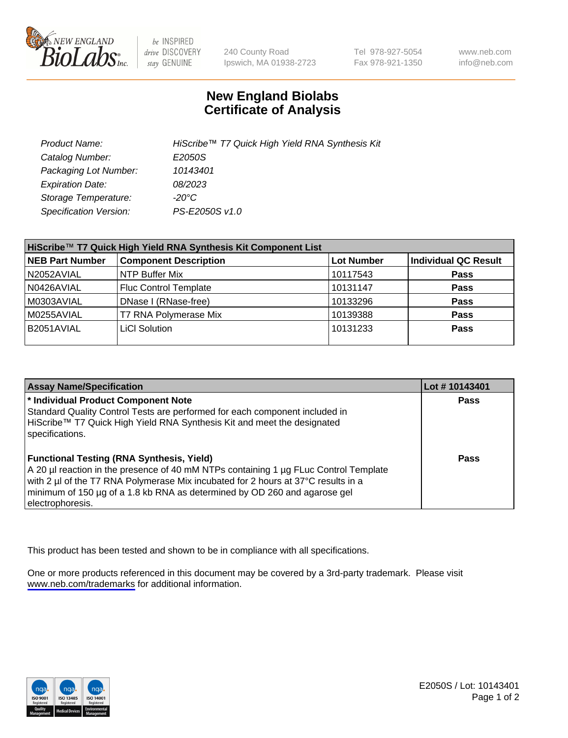

be INSPIRED drive DISCOVERY stay GENUINE

240 County Road Ipswich, MA 01938-2723 Tel 978-927-5054 Fax 978-921-1350

www.neb.com info@neb.com

## **New England Biolabs Certificate of Analysis**

| Product Name:                 | HiScribe™ T7 Quick High Yield RNA Synthesis Kit |
|-------------------------------|-------------------------------------------------|
| Catalog Number:               | E2050S                                          |
| Packaging Lot Number:         | 10143401                                        |
| <b>Expiration Date:</b>       | 08/2023                                         |
| Storage Temperature:          | -20°C                                           |
| <b>Specification Version:</b> | PS-E2050S v1.0                                  |

| HiScribe™ T7 Quick High Yield RNA Synthesis Kit Component List |                              |                   |                      |  |
|----------------------------------------------------------------|------------------------------|-------------------|----------------------|--|
| <b>NEB Part Number</b>                                         | <b>Component Description</b> | <b>Lot Number</b> | Individual QC Result |  |
| N2052AVIAL                                                     | NTP Buffer Mix               | 10117543          | <b>Pass</b>          |  |
| N0426AVIAL                                                     | <b>Fluc Control Template</b> | 10131147          | <b>Pass</b>          |  |
| M0303AVIAL                                                     | DNase I (RNase-free)         | 10133296          | <b>Pass</b>          |  |
| M0255AVIAL                                                     | T7 RNA Polymerase Mix        | 10139388          | <b>Pass</b>          |  |
| B2051AVIAL                                                     | LiCI Solution                | 10131233          | <b>Pass</b>          |  |
|                                                                |                              |                   |                      |  |

| <b>Assay Name/Specification</b>                                                                                                                                                                                                                                                                                                | Lot #10143401 |
|--------------------------------------------------------------------------------------------------------------------------------------------------------------------------------------------------------------------------------------------------------------------------------------------------------------------------------|---------------|
| * Individual Product Component Note<br>Standard Quality Control Tests are performed for each component included in<br>HiScribe™ T7 Quick High Yield RNA Synthesis Kit and meet the designated<br>specifications.                                                                                                               | <b>Pass</b>   |
| <b>Functional Testing (RNA Synthesis, Yield)</b><br>A 20 µl reaction in the presence of 40 mM NTPs containing 1 µg FLuc Control Template<br>with 2 µl of the T7 RNA Polymerase Mix incubated for 2 hours at 37°C results in a<br>minimum of 150 µg of a 1.8 kb RNA as determined by OD 260 and agarose gel<br>electrophoresis. | Pass          |

This product has been tested and shown to be in compliance with all specifications.

One or more products referenced in this document may be covered by a 3rd-party trademark. Please visit <www.neb.com/trademarks>for additional information.